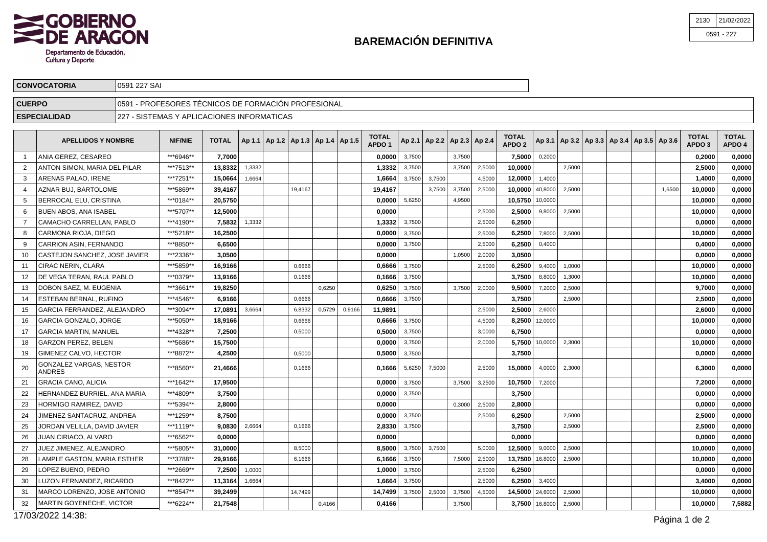

0591 227 SAI

**CONVOCATORIA**

| <b>CUERPO</b> |                                          |  | 0591 - PROFESORES TÉCNICOS DE FORMACIÓN PROFESIONAL |              |        |  |         |                                            |        |                                   |        |        |                                   |        |                                   |                |                                                     |  |        |                                   |                        |
|---------------|------------------------------------------|--|-----------------------------------------------------|--------------|--------|--|---------|--------------------------------------------|--------|-----------------------------------|--------|--------|-----------------------------------|--------|-----------------------------------|----------------|-----------------------------------------------------|--|--------|-----------------------------------|------------------------|
|               | <b>ESPECIALIDAD</b>                      |  | 227 - SISTEMAS Y APLICACIONES INFORMATICAS          |              |        |  |         |                                            |        |                                   |        |        |                                   |        |                                   |                |                                                     |  |        |                                   |                        |
|               |                                          |  |                                                     |              |        |  |         |                                            |        |                                   |        |        |                                   |        |                                   |                |                                                     |  |        |                                   |                        |
|               | <b>APELLIDOS Y NOMBRE</b>                |  | <b>NIF/NIE</b>                                      | <b>TOTAL</b> |        |  |         | Ap 1.1   Ap 1.2   Ap 1.3   Ap 1.4   Ap 1.5 |        | <b>TOTAL</b><br>APDO <sub>1</sub> |        |        | Ap 2.1   Ap 2.2   Ap 2.3   Ap 2.4 |        | <b>TOTAL</b><br>APDO <sub>2</sub> |                | Ap 3.1   Ap 3.2   Ap 3.3   Ap 3.4   Ap 3.5   Ap 3.6 |  |        | <b>TOTAL</b><br>APDO <sub>3</sub> | <b>TOTAL</b><br>APDO 4 |
|               | ANIA GEREZ. CESAREO                      |  | ***6946**                                           | 7,7000       |        |  |         |                                            |        | 0,0000                            | 3,7500 |        | 3,7500                            |        | 7,5000                            | 0,2000         |                                                     |  |        | 0,2000                            | 0,0000                 |
| 2             | ANTON SIMON, MARIA DEL PILAR             |  | ***7513**                                           | 13,8332      | 1,3332 |  |         |                                            |        | 1,3332                            | 3,7500 |        | 3,7500                            | 2,5000 | 10,0000                           |                | 2,5000                                              |  |        | 2,5000                            | 0,0000                 |
| 3             | ARENAS PALAO, IRENE                      |  | ***7251**                                           | 15,0664      | 1,6664 |  |         |                                            |        | 1,6664                            | 3,7500 | 3,7500 |                                   | 4,5000 | 12,0000                           | 1,4000         |                                                     |  |        | 1,4000                            | 0,0000                 |
| 4             | AZNAR BUJ, BARTOLOME                     |  | ***5869**                                           | 39,4167      |        |  | 19,4167 |                                            |        | 19,4167                           |        | 3,7500 | 3,7500                            | 2,5000 | 10,0000                           | 40,8000        | 2,5000                                              |  | 1,6500 | 10,0000                           | 0,0000                 |
| 5             | BERROCAL ELU, CRISTINA                   |  | ***0184**                                           | 20,5750      |        |  |         |                                            |        | 0,0000                            | 5,6250 |        | 4,9500                            |        | 10,5750 10,0000                   |                |                                                     |  |        | 10,0000                           | 0,0000                 |
| 6             | BUEN ABOS, ANA ISABEL                    |  | ***5707**                                           | 12,5000      |        |  |         |                                            |        | 0,0000                            |        |        |                                   | 2.5000 | 2,5000                            | 9,8000         | 2,5000                                              |  |        | 10,0000                           | 0,0000                 |
| 7             | CAMACHO CARRELLAN, PABLO                 |  | ***4190**                                           | 7.5832       | 1,3332 |  |         |                                            |        | 1,3332                            | 3,7500 |        |                                   | 2,5000 | 6,2500                            |                |                                                     |  |        | 0.0000                            | 0,0000                 |
| 8             | CARMONA RIOJA, DIEGO                     |  | ***5218**                                           | 16,2500      |        |  |         |                                            |        | 0,0000                            | 3,7500 |        |                                   | 2,5000 | 6,2500                            | 7,8000         | 2,5000                                              |  |        | 10,0000                           | 0,0000                 |
| 9             | CARRION ASIN, FERNANDO                   |  | ***8850**                                           | 6,6500       |        |  |         |                                            |        | 0,0000                            | 3,7500 |        |                                   | 2,5000 | 6,2500                            | 0,4000         |                                                     |  |        | 0,4000                            | 0,0000                 |
| 10            | CASTEJON SANCHEZ, JOSE JAVIER            |  | ***2336**                                           | 3,0500       |        |  |         |                                            |        | 0,0000                            |        |        | 1,0500                            | 2,0000 | 3,0500                            |                |                                                     |  |        | 0.0000                            | 0,0000                 |
| 11            | <b>CIRAC NERIN, CLARA</b>                |  | ***5859**                                           | 16,9166      |        |  | 0,6666  |                                            |        | 0.6666                            | 3,7500 |        |                                   | 2,5000 | 6,2500                            | 9,4000         | 1,0000                                              |  |        | 10,0000                           | 0,0000                 |
| 12            | DE VEGA TERAN. RAUL PABLO                |  | ***0379**                                           | 13,9166      |        |  | 0,1666  |                                            |        | 0,1666                            | 3,7500 |        |                                   |        | 3,7500                            | 8,8000         | 1,3000                                              |  |        | 10.0000                           | 0,0000                 |
| 13            | DOBON SAEZ. M. EUGENIA                   |  | ***3661**                                           | 19,8250      |        |  |         | 0,6250                                     |        | 0.6250                            | 3,7500 |        | 3,7500                            | 2,0000 | 9,5000                            | 7,2000         | 2,5000                                              |  |        | 9,7000                            | 0,0000                 |
| 14            | ESTEBAN BERNAL, RUFINO                   |  | ***4546**                                           | 6.9166       |        |  | 0,6666  |                                            |        | 0.6666                            | 3,7500 |        |                                   |        | 3,7500                            |                | 2.5000                                              |  |        | 2.5000                            | 0,0000                 |
| 15            | GARCIA FERRANDEZ, ALEJANDRO              |  | ***3094**                                           | 17,0891      | 3,6664 |  | 6,8332  | 0,5729                                     | 0,9166 | 11,9891                           |        |        |                                   | 2,5000 | 2,5000                            | 2,6000         |                                                     |  |        | 2,6000                            | 0,0000                 |
| 16            | GARCIA GONZALO, JORGE                    |  | ***5050**                                           | 18,9166      |        |  | 0,6666  |                                            |        | 0,6666                            | 3,7500 |        |                                   | 4,5000 | 8,2500                            | 12,0000        |                                                     |  |        | 10,0000                           | 0,0000                 |
| 17            | <b>GARCIA MARTIN, MANUEL</b>             |  | ***4328**                                           | 7,2500       |        |  | 0,5000  |                                            |        | 0.5000                            | 3,7500 |        |                                   | 3,0000 | 6,7500                            |                |                                                     |  |        | 0.0000                            | 0,0000                 |
| 18            | <b>GARZON PEREZ. BELEN</b>               |  | ***5686**                                           | 15,7500      |        |  |         |                                            |        | 0.0000                            | 3,7500 |        |                                   | 2,000  | 5,7500                            | 10,0000        | 2,3000                                              |  |        | 10.0000                           | 0,0000                 |
| 19            | <b>GIMENEZ CALVO. HECTOR</b>             |  | ***8872**                                           | 4,2500       |        |  | 0,5000  |                                            |        | 0.5000                            | 3,7500 |        |                                   |        | 3,7500                            |                |                                                     |  |        | 0.0000                            | 0,0000                 |
| 20            | <b>GONZALEZ VARGAS, NESTOR</b><br>ANDRES |  | ***8560**                                           | 21,4666      |        |  | 0.1666  |                                            |        | 0.1666                            | 5,6250 | 7.5000 |                                   | 2.5000 | 15,0000                           | 4,0000         | 2.3000                                              |  |        | 6,3000                            | 0.0000                 |
| 21            | <b>GRACIA CANO, ALICIA</b>               |  | ***1642**                                           | 17,9500      |        |  |         |                                            |        | 0,0000                            | 3,7500 |        | 3,7500                            | 3,2500 | 10,7500                           | 7,2000         |                                                     |  |        | 7,2000                            | 0,0000                 |
| 22            | HERNANDEZ BURRIEL, ANA MARIA             |  | ***4809**                                           | 3,7500       |        |  |         |                                            |        | 0,0000                            | 3,7500 |        |                                   |        | 3,7500                            |                |                                                     |  |        | 0,0000                            | 0,0000                 |
| 23            | HORMIGO RAMIREZ, DAVID                   |  | ***5394**                                           | 2,8000       |        |  |         |                                            |        | 0,0000                            |        |        | 0,3000                            | 2,5000 | 2,8000                            |                |                                                     |  |        | 0,0000                            | 0,0000                 |
| 24            | JIMENEZ SANTACRUZ, ANDREA                |  | ***1259**                                           | 8,7500       |        |  |         |                                            |        | 0.0000                            | 3,7500 |        |                                   | 2,5000 | 6,2500                            |                | 2,5000                                              |  |        | 2,5000                            | 0,0000                 |
| 25            | JORDAN VELILLA, DAVID JAVIER             |  | ***1119**                                           | 9,0830       | 2,6664 |  | 0.1666  |                                            |        | 2,8330                            | 3,7500 |        |                                   |        | 3,7500                            |                | 2,5000                                              |  |        | 2,5000                            | 0,0000                 |
| 26            | JUAN CIRIACO, ALVARO                     |  | ***6562**                                           | 0.0000       |        |  |         |                                            |        | 0.0000                            |        |        |                                   |        | 0.0000                            |                |                                                     |  |        | 0.0000                            | 0,0000                 |
| 27            | JUEZ JIMENEZ, ALEJANDRO                  |  | ***5805**                                           | 31,0000      |        |  | 8,5000  |                                            |        | 8,5000                            | 3,7500 | 3,7500 |                                   | 5,0000 | 12,5000                           | 9,0000         | 2,5000                                              |  |        | 10,0000                           | 0,0000                 |
| 28            | LAMPLE GASTON, MARIA ESTHER              |  | ***3788**                                           | 29,9166      |        |  | 6,1666  |                                            |        | 6,1666                            | 3,7500 |        | 7,5000                            | 2,5000 | 13,7500                           | 16,8000        | 2,5000                                              |  |        | 10,0000                           | 0,0000                 |
| 29            | LOPEZ BUENO, PEDRO                       |  | ***2669**                                           | 7,2500       | 1,0000 |  |         |                                            |        | 1,0000                            | 3,7500 |        |                                   | 2,5000 | 6,2500                            |                |                                                     |  |        | 0,0000                            | 0,0000                 |
| 30            | LUZON FERNANDEZ, RICARDO                 |  | ***8422**                                           | 11,3164      | 1,6664 |  |         |                                            |        | 1,6664                            | 3,7500 |        |                                   | 2,5000 | 6,2500                            | 3,4000         |                                                     |  |        | 3,4000                            | 0,0000                 |
| 31            | MARCO LORENZO, JOSE ANTONIO              |  | ***8547**                                           | 39,2499      |        |  | 14.7499 |                                            |        | 14,7499                           | 3,7500 | 2,5000 | 3,7500                            | 4,5000 | 14,5000 24,6000                   |                | 2,5000                                              |  |        | 10,0000                           | 0,0000                 |
| 32            | <b>MARTIN GOYENECHE, VICTOR</b>          |  | ***6224**                                           | 21,7548      |        |  |         | 0,4166                                     |        | 0,4166                            |        |        | 3,7500                            |        |                                   | 3,7500 16,8000 | 2,5000                                              |  |        | 10,0000                           | 7,5882                 |

17/03/2022 14:38:

21300591 - 22721/02/2022